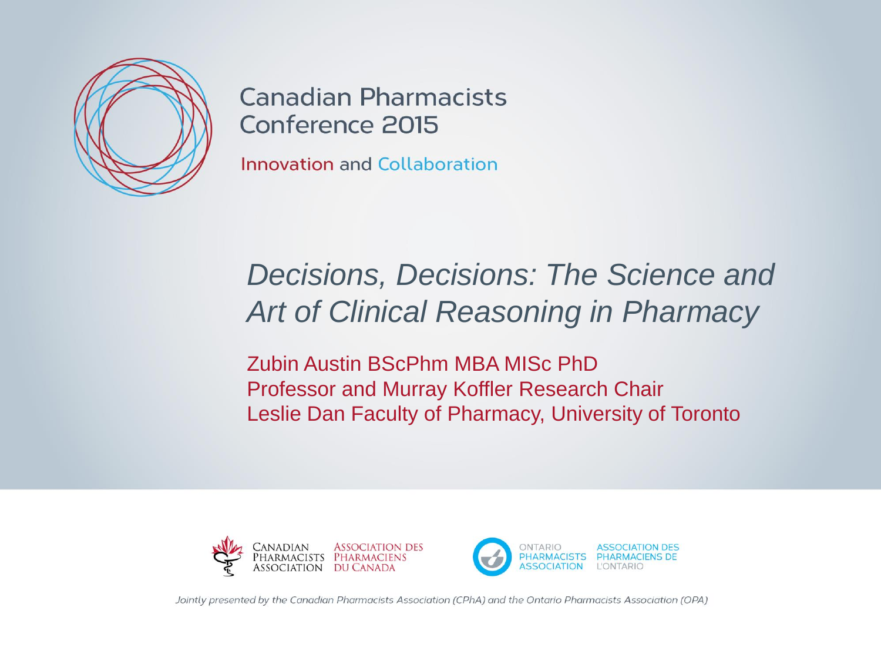

**Canadian Pharmacists** Conference 2015

**Innovation and Collaboration** 

#### *Decisions, Decisions: The Science and Art of Clinical Reasoning in Pharmacy*

Zubin Austin BScPhm MBA MISc PhD Professor and Murray Koffler Research Chair Leslie Dan Faculty of Pharmacy, University of Toronto





Jointly presented by the Canadian Pharmacists Association (CPhA) and the Ontario Pharmacists Association (OPA)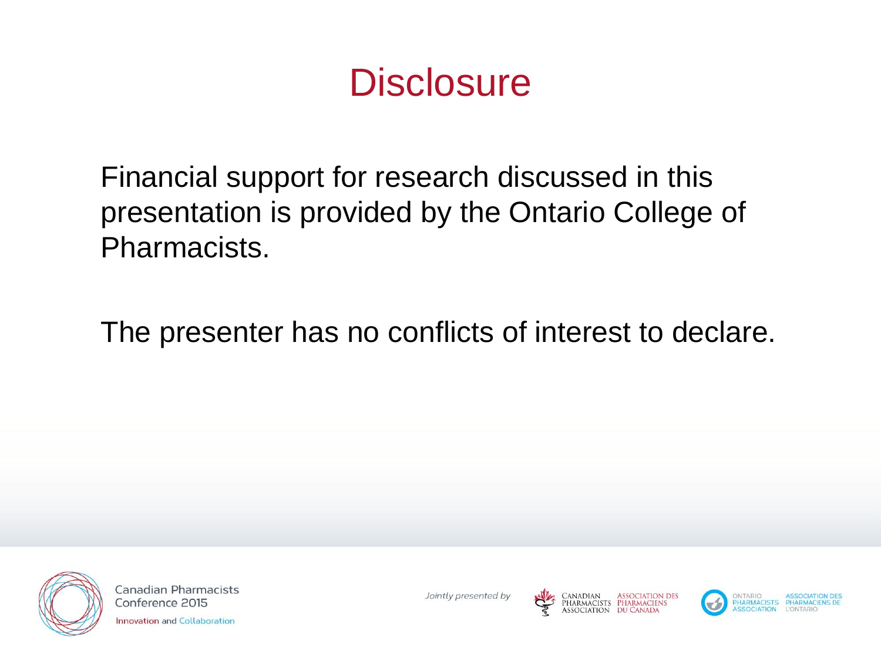#### **Disclosure**

Financial support for research discussed in this presentation is provided by the Ontario College of Pharmacists.

The presenter has no conflicts of interest to declare.



**Canadian Pharmacists** Conference 2015 **Innovation and Collaboration** 





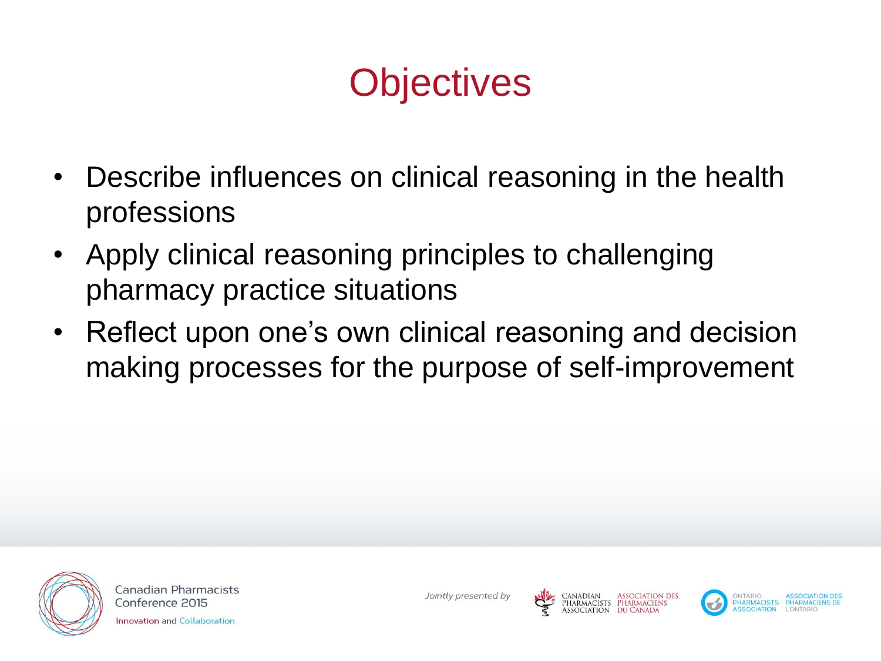# **Objectives**

- Describe influences on clinical reasoning in the health professions
- Apply clinical reasoning principles to challenging pharmacy practice situations
- Reflect upon one's own clinical reasoning and decision making processes for the purpose of self-improvement



**Canadian Pharmacists** Conference 2015 **Innovation and Collaboration** 





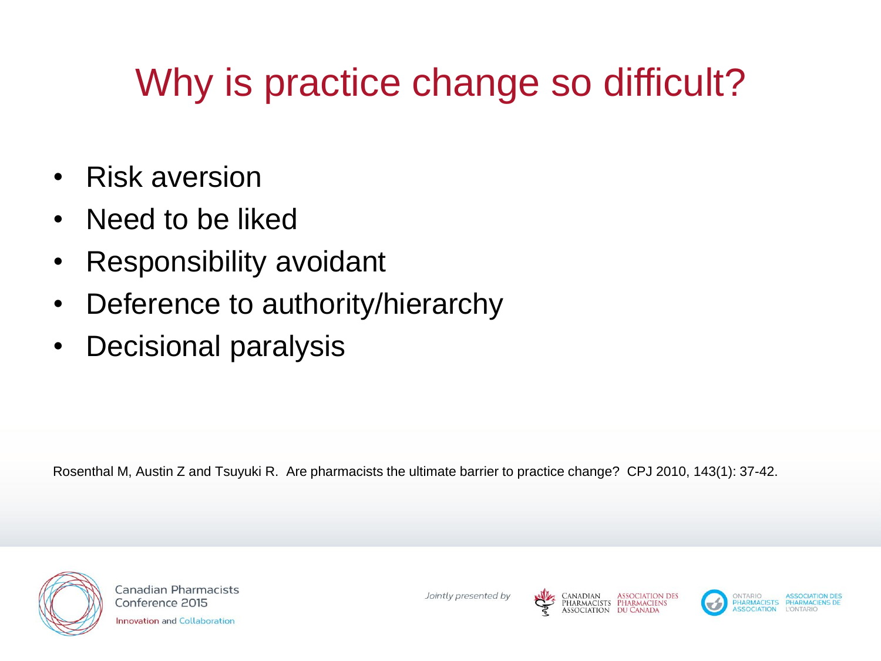# Why is practice change so difficult?

- Risk aversion
- Need to be liked
- Responsibility avoidant
- Deference to authority/hierarchy
- Decisional paralysis

Rosenthal M, Austin Z and Tsuyuki R. Are pharmacists the ultimate barrier to practice change? CPJ 2010, 143(1): 37-42.



**Canadian Pharmacists** Conference 2015

**Innovation and Collaboration** 

Jointly presented by





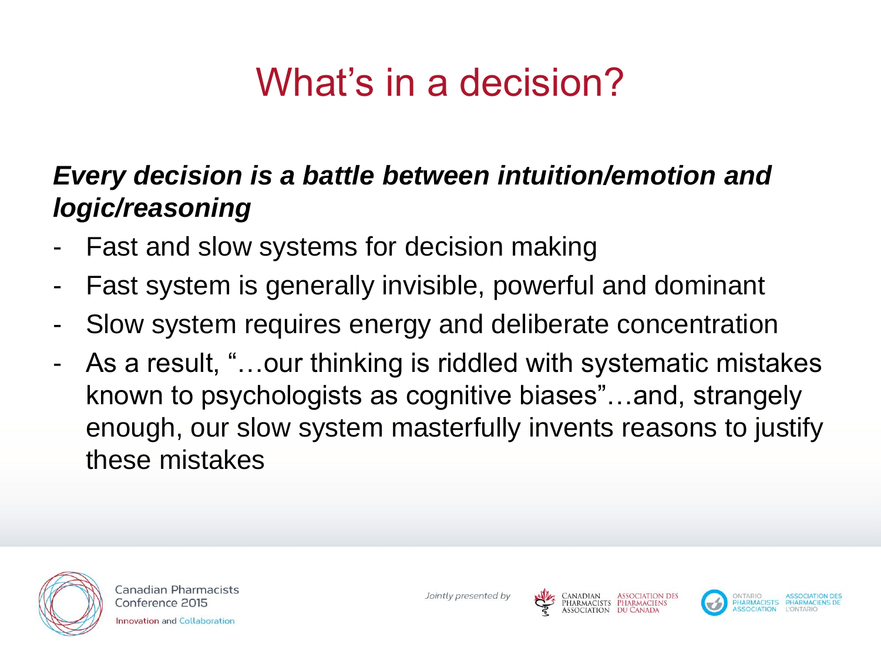# What's in a decision?

#### *Every decision is a battle between intuition/emotion and logic/reasoning*

- Fast and slow systems for decision making
- Fast system is generally invisible, powerful and dominant
- Slow system requires energy and deliberate concentration
- As a result, "…our thinking is riddled with systematic mistakes known to psychologists as cognitive biases"…and, strangely enough, our slow system masterfully invents reasons to justify these mistakes



**Canadian Pharmacists** Conference 2015

**Innovation and Collaboration** 

Jointly presented by





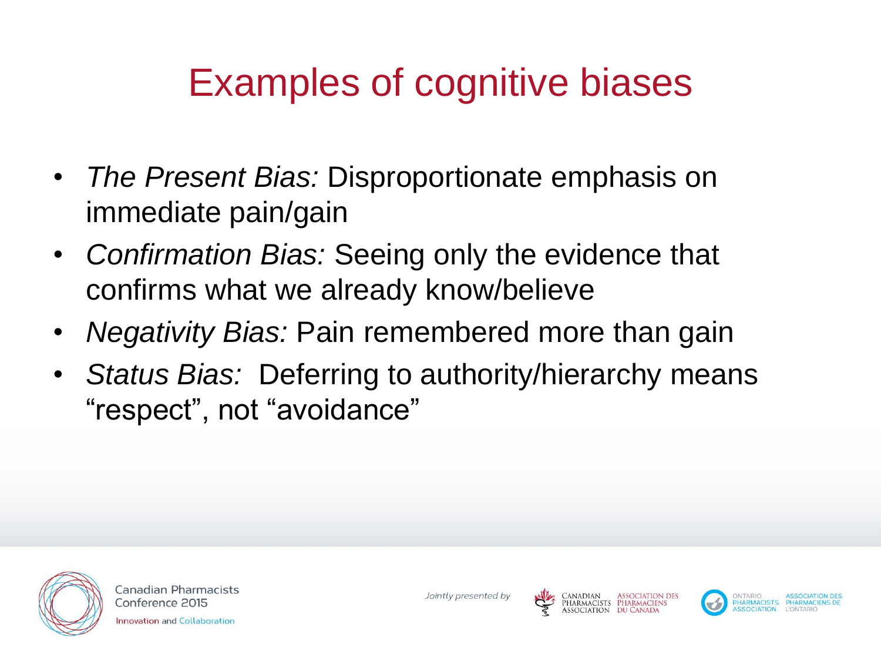### Examples of cognitive biases

- *The Present Bias:* Disproportionate emphasis on immediate pain/gain
- *Confirmation Bias:* Seeing only the evidence that confirms what we already know/believe
- *Negativity Bias:* Pain remembered more than gain
- *Status Bias:* Deferring to authority/hierarchy means "respect", not "avoidance"



**Canadian Pharmacists** Conference 2015 **Innovation and Collaboration** 





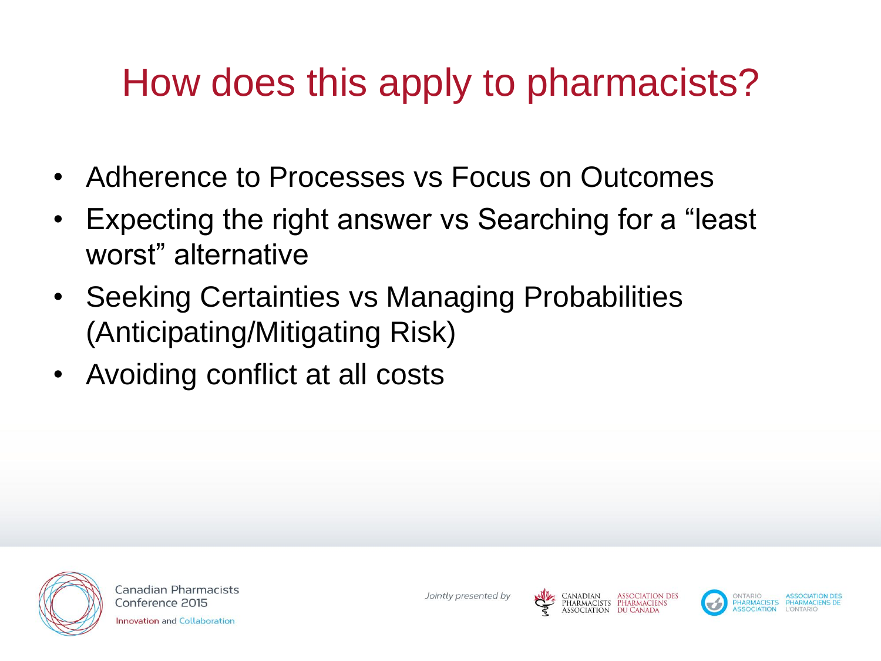# How does this apply to pharmacists?

- Adherence to Processes vs Focus on Outcomes
- Expecting the right answer vs Searching for a "least" worst" alternative
- Seeking Certainties vs Managing Probabilities (Anticipating/Mitigating Risk)
- Avoiding conflict at all costs



**Canadian Pharmacists** Conference 2015 **Innovation and Collaboration** 

Jointly presented by







PHARMACISTS PHARMACIE SOCIATION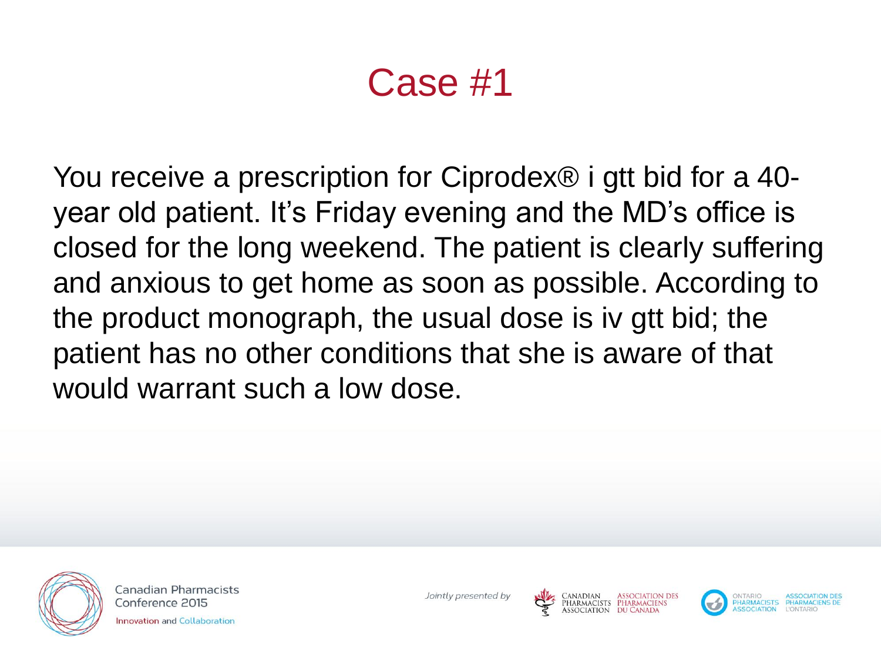### Case #1

You receive a prescription for Ciprodex® i gtt bid for a 40 year old patient. It's Friday evening and the MD's office is closed for the long weekend. The patient is clearly suffering and anxious to get home as soon as possible. According to the product monograph, the usual dose is iv gtt bid; the patient has no other conditions that she is aware of that would warrant such a low dose.



Canadian Pharmacists Conference 2015 nnovation and Collaboration





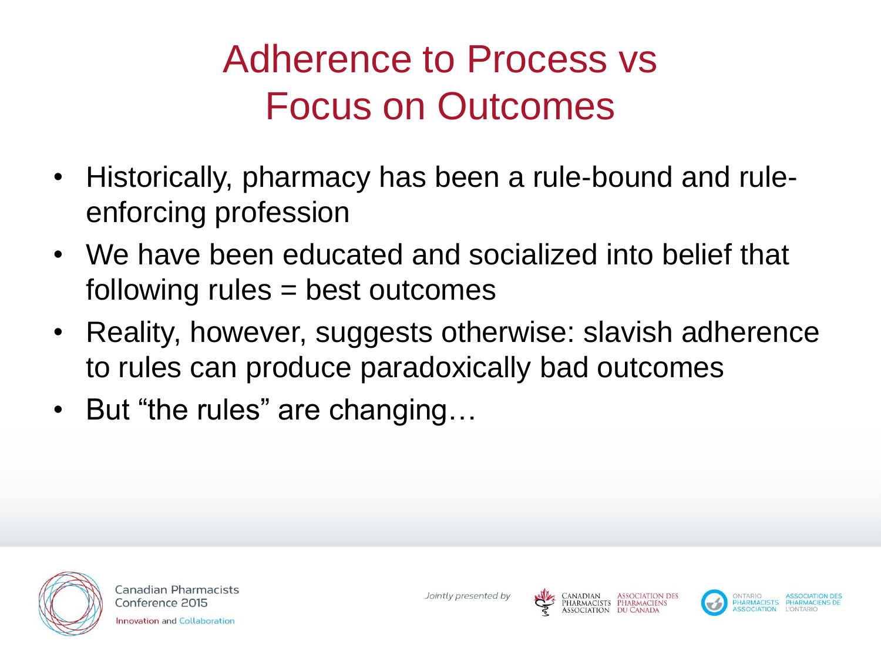# Adherence to Process vs Focus on Outcomes

- Historically, pharmacy has been a rule-bound and ruleenforcing profession
- We have been educated and socialized into belief that following rules = best outcomes
- Reality, however, suggests otherwise: slavish adherence to rules can produce paradoxically bad outcomes
- But "the rules" are changing...



**Canadian Pharmacists** Conference 2015 **Innovation and Collaboration** 





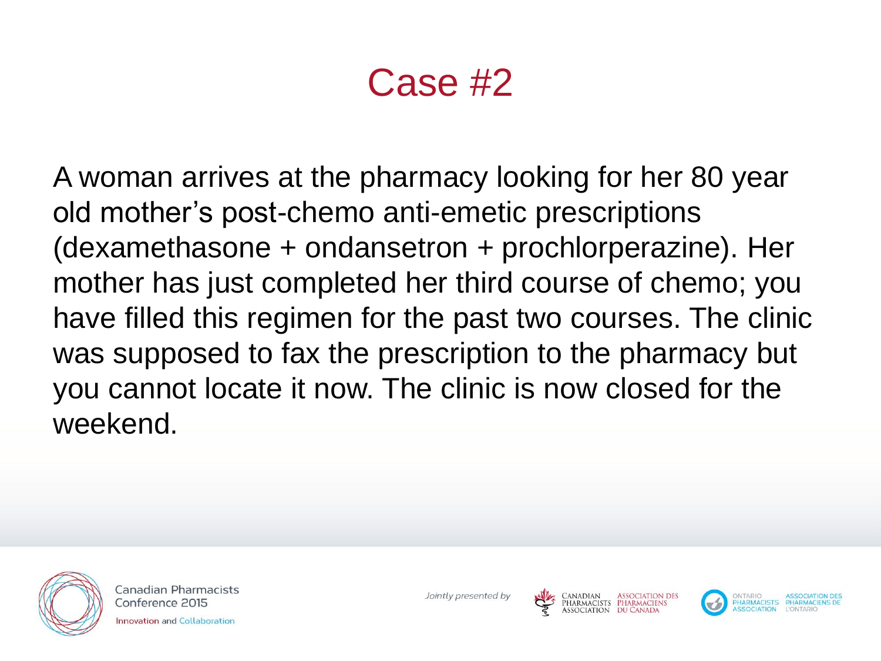#### Case #2

A woman arrives at the pharmacy looking for her 80 year old mother's post-chemo anti-emetic prescriptions (dexamethasone + ondansetron + prochlorperazine). Her mother has just completed her third course of chemo; you have filled this regimen for the past two courses. The clinic was supposed to fax the prescription to the pharmacy but you cannot locate it now. The clinic is now closed for the weekend.



Canadian Pharmacists Conference 2015 nnovation and Collaboration

Jointly presented by



PHARMACISTS PHARMACIEN!

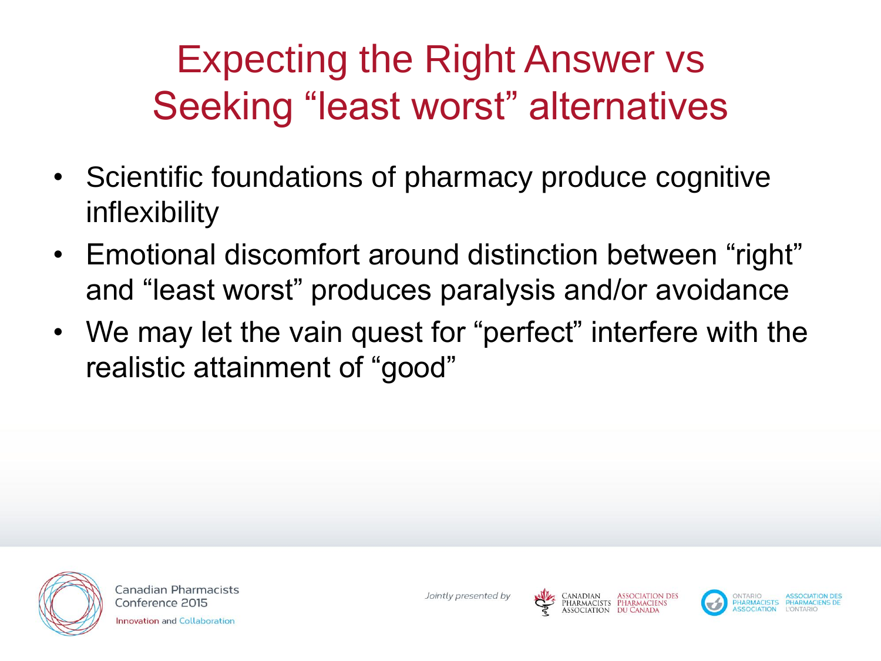# Expecting the Right Answer vs Seeking "least worst" alternatives

- Scientific foundations of pharmacy produce cognitive inflexibility
- Emotional discomfort around distinction between "right" and "least worst" produces paralysis and/or avoidance
- We may let the vain quest for "perfect" interfere with the realistic attainment of "good"



**Canadian Pharmacists** Conference 2015 **Innovation and Collaboration** 

Jointly presented by





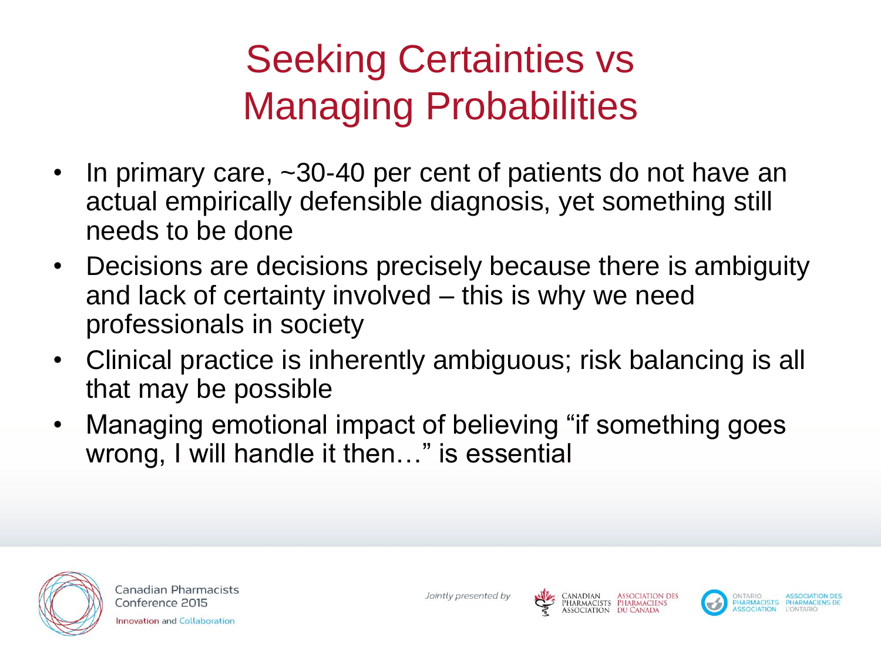# Seeking Certainties vs Managing Probabilities

- In primary care,  $\sim$ 30-40 per cent of patients do not have an actual empirically defensible diagnosis, yet something still needs to be done
- Decisions are decisions precisely because there is ambiguity and lack of certainty involved – this is why we need professionals in society
- Clinical practice is inherently ambiguous; risk balancing is all that may be possible
- Managing emotional impact of believing "if something goes wrong, I will handle it then…" is essential



**Canadian Pharmacists** Conference 2015

**Innovation and Collaboration** 

Jointly presented by



Canadian Association des<br>Pharmacists Pharmaciens<br>Association du Canada



PHARMACISTS PHARMACIEN

SOCIATION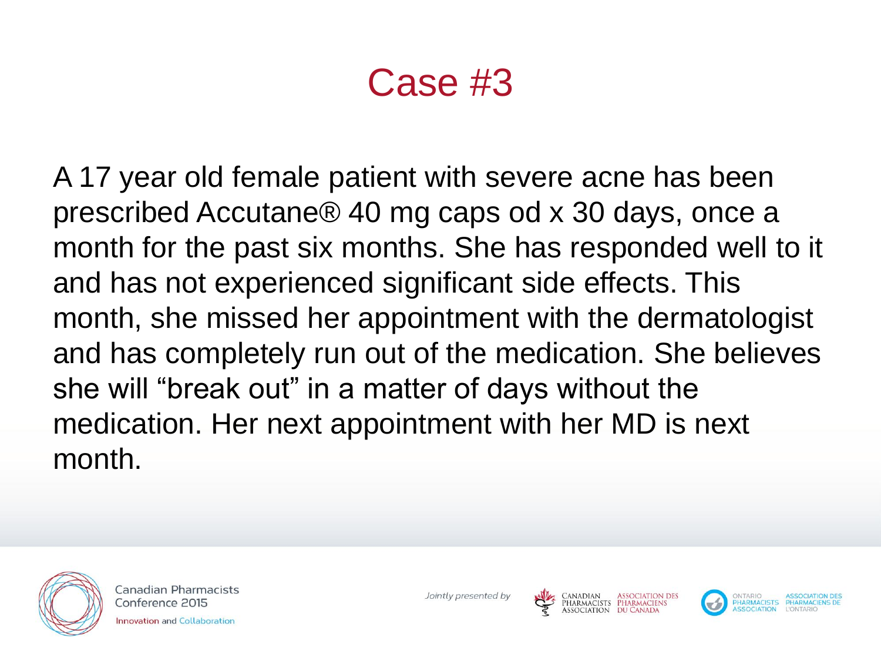#### Case #3

A 17 year old female patient with severe acne has been prescribed Accutane® 40 mg caps od x 30 days, once a month for the past six months. She has responded well to it and has not experienced significant side effects. This month, she missed her appointment with the dermatologist and has completely run out of the medication. She believes she will "break out" in a matter of days without the medication. Her next appointment with her MD is next month.



Canadian Pharmacists Conference 2015 **Innovation and Collaboration** 





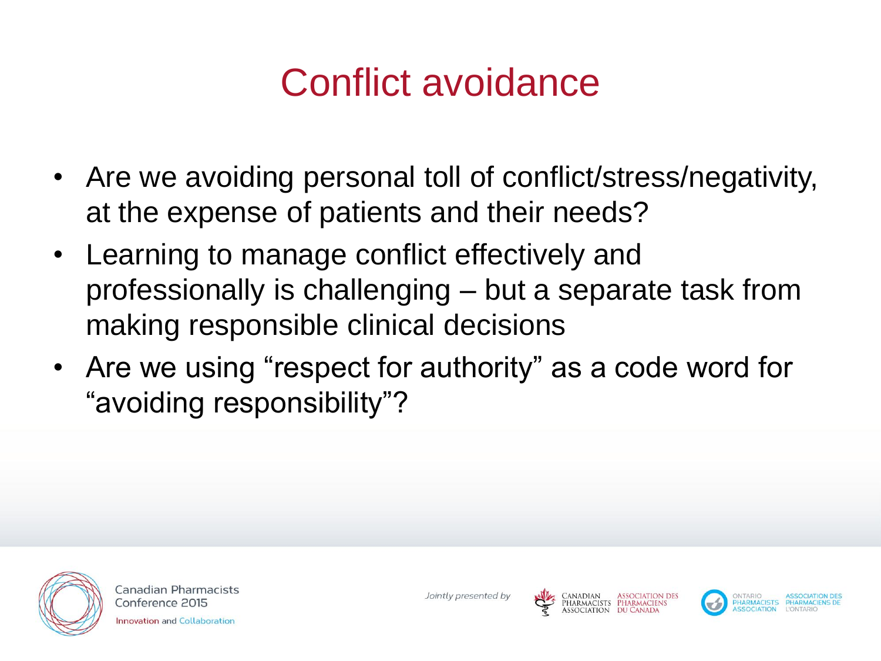### Conflict avoidance

- Are we avoiding personal toll of conflict/stress/negativity, at the expense of patients and their needs?
- Learning to manage conflict effectively and professionally is challenging – but a separate task from making responsible clinical decisions
- Are we using "respect for authority" as a code word for "avoiding responsibility"?



**Canadian Pharmacists** Conference 2015 nnovation and Collaboration







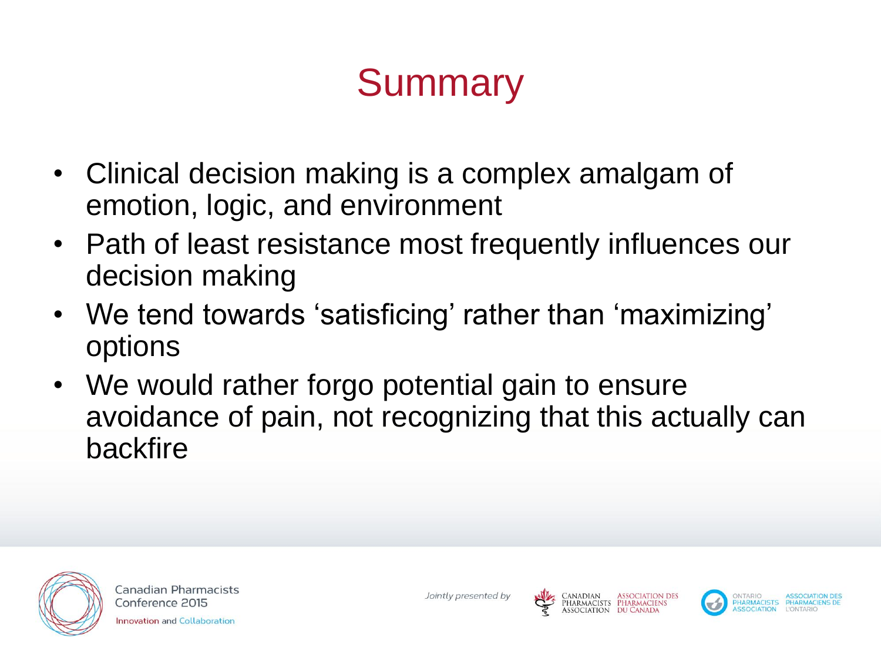# **Summary**

- Clinical decision making is a complex amalgam of emotion, logic, and environment
- Path of least resistance most frequently influences our decision making
- We tend towards 'satisficing' rather than 'maximizing' options
- We would rather forgo potential gain to ensure avoidance of pain, not recognizing that this actually can backfire



**Canadian Pharmacists** Conference 2015

**Innovation and Collaboration** 

Jointly presented by



Harmacists Pharmaciens



PHARMACISTS PHARMACIE SOCIATION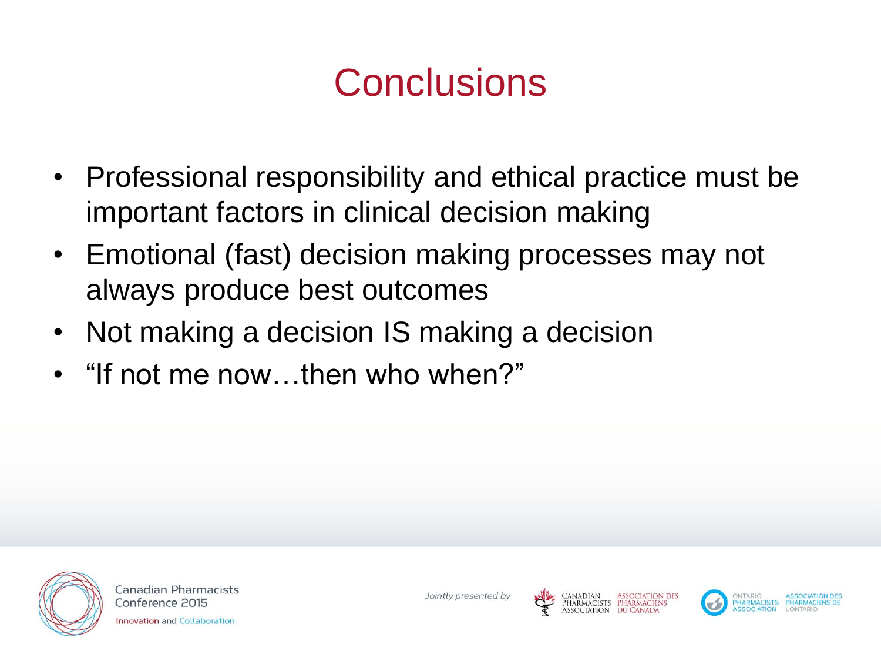### **Conclusions**

- Professional responsibility and ethical practice must be important factors in clinical decision making
- Emotional (fast) decision making processes may not always produce best outcomes
- Not making a decision IS making a decision
- "If not me now…then who when?"



**Canadian Pharmacists** Conference 2015 **Innovation and Collaboration** 

Jointly presented by